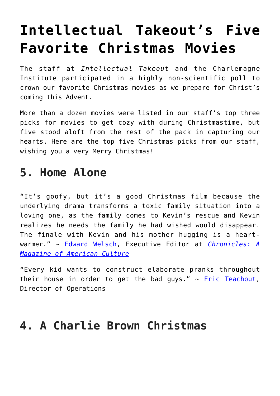# **[Intellectual Takeout's Five](https://intellectualtakeout.org/2019/12/intellectual-takeouts-five-favorite-christmas-movies/) [Favorite Christmas Movies](https://intellectualtakeout.org/2019/12/intellectual-takeouts-five-favorite-christmas-movies/)**

The staff at *Intellectual Takeout* and the Charlemagne Institute participated in a highly non-scientific poll to crown our favorite Christmas movies as we prepare for Christ's coming this Advent.

More than a dozen movies were listed in our staff's top three picks for movies to get cozy with during Christmastime, but five stood aloft from the rest of the pack in capturing our hearts. Here are the top five Christmas picks from our staff, wishing you a very Merry Christmas!

## **5. Home Alone**

"It's goofy, but it's a good Christmas film because the underlying drama transforms a toxic family situation into a loving one, as the family comes to Kevin's rescue and Kevin realizes he needs the family he had wished would disappear. The finale with Kevin and his mother hugging is a heartwarmer." ~ [Edward Welsch](https://www.intellectualtakeout.org/users/edward-welsch), Executive Editor at *[Chronicles: A](https://www.chroniclesmagazine.org/) [Magazine of American Culture](https://www.chroniclesmagazine.org/)*

"Every kid wants to construct elaborate pranks throughout their house in order to get the bad guys."  $\sim$  **Eric Teachout**, Director of Operations

## **4. A Charlie Brown Christmas**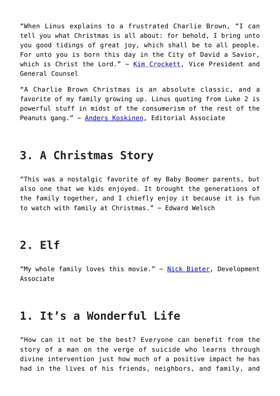"When Linus explains to a frustrated Charlie Brown, "I can tell you what Christmas is all about: for behold, I bring unto you good tidings of great joy, which shall be to all people. For unto you is born this day in the City of David a Savior, which is Christ the Lord."  $\sim$  [Kim Crockett](https://www.intellectualtakeout.org/users/kim-crockett), Vice President and General Counsel

"A Charlie Brown Christmas is an absolute classic, and a favorite of my family growing up. Linus quoting from Luke 2 is powerful stuff in midst of the consumerism of the rest of the Peanuts gang." ~ [Anders Koskinen,](https://www.intellectualtakeout.org/users/anders-koskinen) Editorial Associate

### **3. A Christmas Story**

"This was a nostalgic favorite of my Baby Boomer parents, but also one that we kids enjoyed. It brought the generations of the family together, and I chiefly enjoy it because it is fun to watch with family at Christmas."  $\sim$  Edward Welsch

#### **2. Elf**

"My whole family loves this movie."  $\sim$  [Nick Bieter](https://www.intellectualtakeout.org/users/nick-bieter), Development Associate

### **1. It's a Wonderful Life**

"How can it not be the best? Everyone can benefit from the story of a man on the verge of suicide who learns through divine intervention just how much of a positive impact he has had in the lives of his friends, neighbors, and family, and